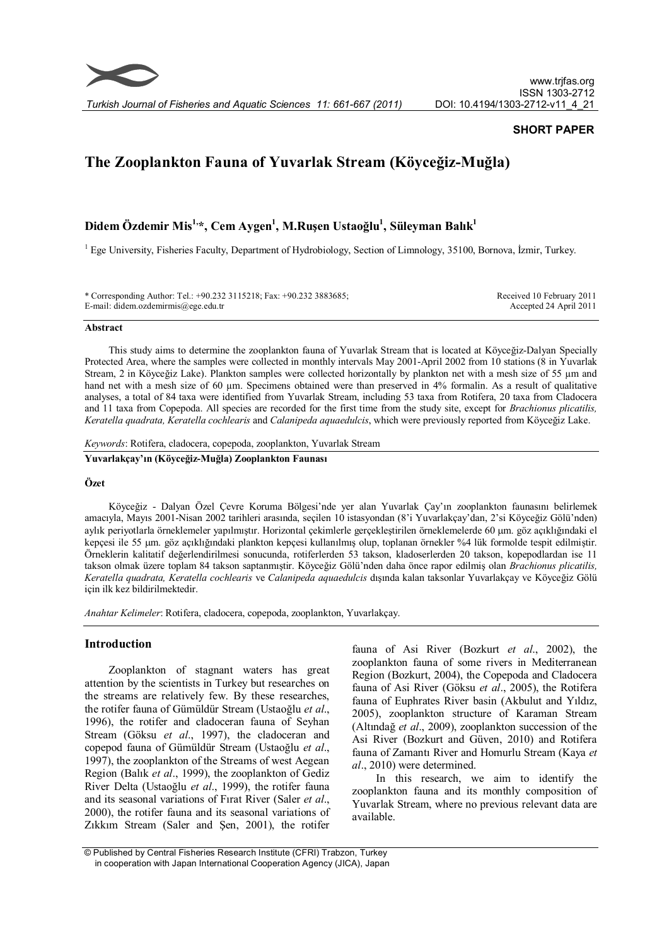

*Turkish Journal of Fisheries and Aquatic Sciences 11: 661-667 (2011)*

# **SHORT PAPER**

# **The Zooplankton Fauna of Yuvarlak Stream (Köyceğiz-Muğla)**

# **Didem Özdemir Mis1,\*, Cem Aygen<sup>1</sup> , M.Ruşen Ustaoğlu<sup>1</sup> , Süleyman Balık 1**

<sup>1</sup> Ege University, Fisheries Faculty, Department of Hydrobiology, Section of Limnology, 35100, Bornova, İzmir, Turkey.

| * Corresponding Author: Tel.: +90.232 3115218; Fax: +90.232 3883685; | Received 10 February 2011 |
|----------------------------------------------------------------------|---------------------------|
| E-mail: didem.ozdemirmis@ege.edu.tr                                  | Accepted 24 April 2011    |

#### **Abstract**

This study aims to determine the zooplankton fauna of Yuvarlak Stream that is located at Köyceğiz-Dalyan Specially Protected Area, where the samples were collected in monthly intervals May 2001-April 2002 from 10 stations (8 in Yuvarlak Stream, 2 in Köyceğiz Lake). Plankton samples were collected horizontally by plankton net with a mesh size of 55  $\mu$ m and hand net with a mesh size of 60 µm. Specimens obtained were than preserved in 4% formalin. As a result of qualitative analyses, a total of 84 taxa were identified from Yuvarlak Stream, including 53 taxa from Rotifera, 20 taxa from Cladocera and 11 taxa from Copepoda. All species are recorded for the first time from the study site, except for *Brachionus plicatilis, Keratella quadrata, Keratella cochlearis* and *Calanipeda aquaedulcis*, which were previously reported from Köyceğiz Lake.

*Keywords*: Rotifera, cladocera, copepoda, zooplankton, Yuvarlak Stream

**Yuvarlakçay'ın (Köyceğiz-Muğla) Zooplankton Faunası**

#### **Özet**

Köyceğiz - Dalyan Özel Çevre Koruma Bölgesi'nde yer alan Yuvarlak Çay'ın zooplankton faunasını belirlemek amacıyla, Mayıs 2001-Nisan 2002 tarihleri arasında, seçilen 10 istasyondan (8'i Yuvarlakçay'dan, 2'si Köyceğiz Gölü'nden) aylık periyotlarla örneklemeler yapılmıştır. Horizontal çekimlerle gerçekleştirilen örneklemelerde 60 µm. göz açıklığındaki el kepçesi ile 55 µm. göz açıklığındaki plankton kepçesi kullanılmış olup, toplanan örnekler %4 lük formolde tespit edilmiştir. Örneklerin kalitatif değerlendirilmesi sonucunda, rotiferlerden 53 takson, kladoserlerden 20 takson, kopepodlardan ise 11 takson olmak üzere toplam 84 takson saptanmıştir. Köyceğiz Gölü'nden daha önce rapor edilmiş olan *Brachionus plicatilis, Keratella quadrata, Keratella cochlearis* ve *Calanipeda aquaedulcis* dışında kalan taksonlar Yuvarlakçay ve Köyceğiz Gölü için ilk kez bildirilmektedir.

*Anahtar Kelimeler*: Rotifera, cladocera, copepoda, zooplankton, Yuvarlakçay.

## **Introduction**

Zooplankton of stagnant waters has great attention by the scientists in Turkey but researches on the streams are relatively few. By these researches, the rotifer fauna of Gümüldür Stream (Ustaoğlu *et al*., 1996), the rotifer and cladoceran fauna of Seyhan Stream (Göksu *et al*., 1997), the cladoceran and copepod fauna of Gümüldür Stream (Ustaoğlu *et al*., 1997), the zooplankton of the Streams of west Aegean Region (Balık *et al*., 1999), the zooplankton of Gediz River Delta (Ustaoğlu *et al*., 1999), the rotifer fauna and its seasonal variations of Fırat River (Saler *et al*., 2000), the rotifer fauna and its seasonal variations of Zıkkım Stream (Saler and Şen, 2001), the rotifer

fauna of Asi River (Bozkurt *et al*., 2002), the zooplankton fauna of some rivers in Mediterranean Region (Bozkurt, 2004), the Copepoda and Cladocera fauna of Asi River (Göksu *et al*., 2005), the Rotifera fauna of Euphrates River basin (Akbulut and Yıldız, 2005), zooplankton structure of Karaman Stream (Altındağ *et al*., 2009), zooplankton succession of the Asi River (Bozkurt and Güven, 2010) and Rotifera fauna of Zamantı River and Homurlu Stream (Kaya *et al*., 2010) were determined.

In this research, we aim to identify the zooplankton fauna and its monthly composition of Yuvarlak Stream, where no previous relevant data are available.

 <sup>©</sup> Published by Central Fisheries Research Institute (CFRI) Trabzon, Turkey in cooperation with Japan International Cooperation Agency (JICA), Japan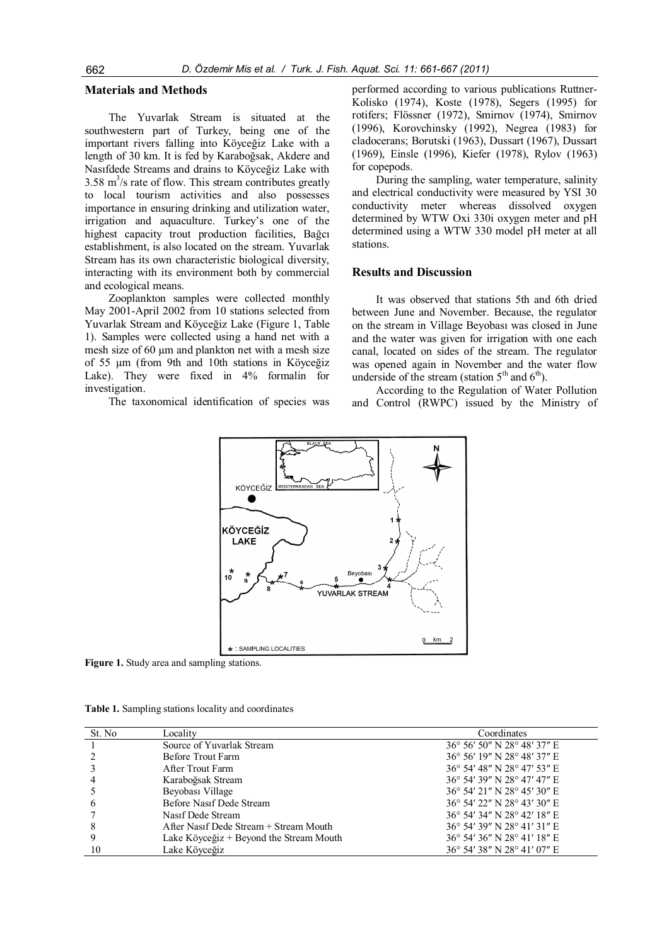#### **Materials and Methods**

The Yuvarlak Stream is situated at the southwestern part of Turkey, being one of the important rivers falling into Köyceğiz Lake with a length of 30 km. It is fed by Karaboğsak, Akdere and Nasıfdede Streams and drains to Köyceğiz Lake with  $3.58 \text{ m}^3/\text{s}$  rate of flow. This stream contributes greatly to local tourism activities and also possesses importance in ensuring drinking and utilization water, irrigation and aquaculture. Turkey's one of the highest capacity trout production facilities, Bağcı establishment, is also located on the stream. Yuvarlak Stream has its own characteristic biological diversity, interacting with its environment both by commercial and ecological means.

Zooplankton samples were collected monthly May 2001-April 2002 from 10 stations selected from Yuvarlak Stream and Köyceğiz Lake (Figure 1, Table 1). Samples were collected using a hand net with a mesh size of 60 µm and plankton net with a mesh size of 55 µm (from 9th and 10th stations in Köyceğiz Lake). They were fixed in  $4\%$  formalin for investigation.

The taxonomical identification of species was

performed according to various publications Ruttner-Kolisko (1974), Koste (1978), Segers (1995) for rotifers; Flössner (1972), Smirnov (1974), Smirnov (1996), Korovchinsky (1992), Negrea (1983) for cladocerans; Borutski (1963), Dussart (1967), Dussart (1969), Einsle (1996), Kiefer (1978), Rylov (1963) for copepods.

During the sampling, water temperature, salinity and electrical conductivity were measured by YSI 30 conductivity meter whereas dissolved oxygen determined by WTW Oxi 330i oxygen meter and pH determined using a WTW 330 model pH meter at all stations.

## **Results and Discussion**

It was observed that stations 5th and 6th dried between June and November. Because, the regulator on the stream in Village Beyobası was closed in June and the water was given for irrigation with one each canal, located on sides of the stream. The regulator was opened again in November and the water flow underside of the stream (station  $5<sup>th</sup>$  and  $6<sup>th</sup>$ ).

According to the Regulation of Water Pollution and Control (RWPC) issued by the Ministry of



**Figure 1.** Study area and sampling stations.

|  |  |  |  |  | Table 1. Sampling stations locality and coordinates |
|--|--|--|--|--|-----------------------------------------------------|
|--|--|--|--|--|-----------------------------------------------------|

| St. No | Locality                                | Coordinates                 |
|--------|-----------------------------------------|-----------------------------|
|        | Source of Yuvarlak Stream               | 36° 56′ 50″ N 28° 48′ 37″ E |
|        | Before Trout Farm                       | 36° 56′ 19″ N 28° 48′ 37″ E |
|        | After Trout Farm                        | 36° 54′ 48″ N 28° 47′ 53″ E |
|        | Karaboğsak Stream                       | 36° 54′ 39″ N 28° 47′ 47″ E |
|        | Beyobası Village                        | 36° 54′ 21″ N 28° 45′ 30″ E |
| b      | Before Nasif Dede Stream                | 36° 54′ 22″ N 28° 43′ 30″ E |
|        | Nasif Dede Stream                       | 36° 54′ 34″ N 28° 42′ 18″ E |
| 8      | After Nasif Dede Stream + Stream Mouth  | 36° 54′ 39″ N 28° 41′ 31″ E |
|        | Lake Köyceğiz + Beyond the Stream Mouth | 36° 54′ 36″ N 28° 41′ 18″ E |
| 10     | Lake Kövceğiz                           | 36° 54′ 38″ N 28° 41′ 07″ E |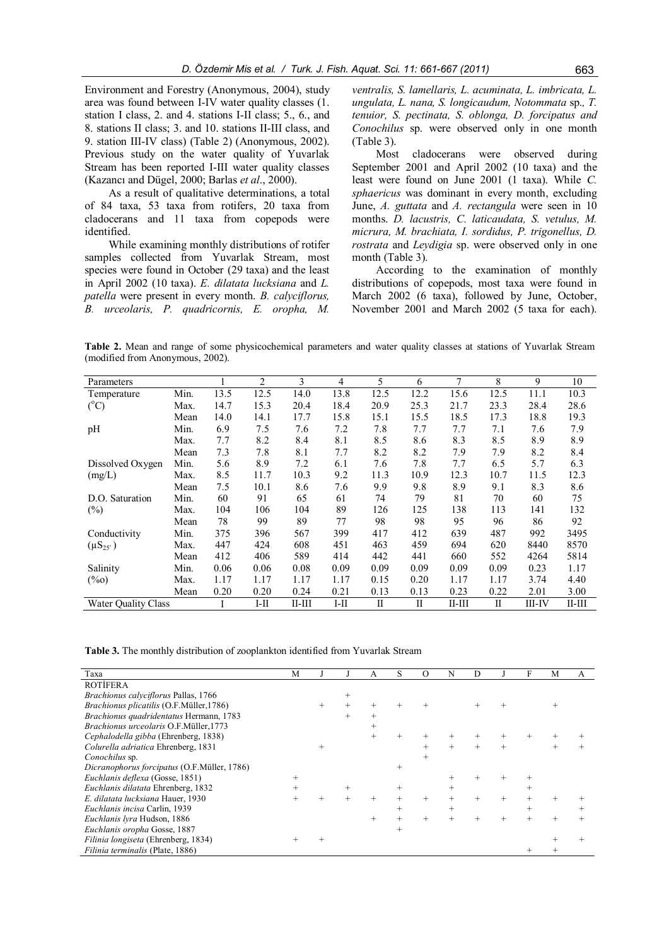Environment and Forestry (Anonymous, 2004), study area was found between I-IV water quality classes (1. station I class, 2. and 4. stations I-II class; 5., 6., and 8. stations II class; 3. and 10. stations II-III class, and 9. station III-IV class) (Table 2) (Anonymous, 2002). Previous study on the water quality of Yuvarlak Stream has been reported I-III water quality classes (Kazancı and Dügel, 2000; Barlas *et al*., 2000).

As a result of qualitative determinations, a total of 84 taxa, 53 taxa from rotifers, 20 taxa from cladocerans and 11 taxa from copepods were identified.

While examining monthly distributions of rotifer samples collected from Yuvarlak Stream, most species were found in October (29 taxa) and the least in April 2002 (10 taxa). *E. dilatata lucksiana* and *L. patella* were present in every month. *B. calyciflorus, B. urceolaris, P. quadricornis, E. oropha, M.*

*ventralis, S. lamellaris, L. acuminata, L. imbricata, L. ungulata, L. nana, S. longicaudum, Notommata* sp.*, T. tenuior, S. pectinata, S. oblonga, D. forcipatus and Conochilus* sp. were observed only in one month (Table 3).

Most cladocerans were observed during September 2001 and April 2002 (10 taxa) and the least were found on June 2001 (1 taxa). While *C. sphaericus* was dominant in every month, excluding June, *A. guttata* and *A. rectangula* were seen in 10 months. *D. lacustris, C. laticaudata, S. vetulus, M. micrura, M. brachiata, I. sordidus, P. trigonellus, D. rostrata* and *Leydigia* sp. were observed only in one month (Table 3).

According to the examination of monthly distributions of copepods, most taxa were found in March 2002 (6 taxa), followed by June, October, November 2001 and March 2002 (5 taxa for each).

**Table 2.** Mean and range of some physicochemical parameters and water quality classes at stations of Yuvarlak Stream (modified from Anonymous, 2002).

| Parameters                 |      |      | 2    | 3        | 4      | 5            | 6    | $\overline{7}$ | 8    | 9      | 10       |
|----------------------------|------|------|------|----------|--------|--------------|------|----------------|------|--------|----------|
| Temperature                | Min. | 13.5 | 12.5 | 14.0     | 13.8   | 12.5         | 12.2 | 15.6           | 12.5 | 11.1   | 10.3     |
| $(^{\circ}C)$              | Max. | 14.7 | 15.3 | 20.4     | 18.4   | 20.9         | 25.3 | 21.7           | 23.3 | 28.4   | 28.6     |
|                            | Mean | 14.0 | 14.1 | 17.7     | 15.8   | 15.1         | 15.5 | 18.5           | 17.3 | 18.8   | 19.3     |
| pH                         | Min. | 6.9  | 7.5  | 7.6      | 7.2    | 7.8          | 7.7  | 7.7            | 7.1  | 7.6    | 7.9      |
|                            | Max. | 7.7  | 8.2  | 8.4      | 8.1    | 8.5          | 8.6  | 8.3            | 8.5  | 8.9    | 8.9      |
|                            | Mean | 7.3  | 7.8  | 8.1      | 7.7    | 8.2          | 8.2  | 7.9            | 7.9  | 8.2    | 8.4      |
| Dissolved Oxygen           | Min. | 5.6  | 8.9  | 7.2      | 6.1    | 7.6          | 7.8  | 7.7            | 6.5  | 5.7    | 6.3      |
| (mg/L)                     | Max. | 8.5  | 11.7 | 10.3     | 9.2    | 11.3         | 10.9 | 12.3           | 10.7 | 11.5   | 12.3     |
|                            | Mean | 7.5  | 10.1 | 8.6      | 7.6    | 9.9          | 9.8  | 8.9            | 9.1  | 8.3    | 8.6      |
| D.O. Saturation            | Min. | 60   | 91   | 65       | 61     | 74           | 79   | 81             | 70   | 60     | 75       |
| $(\%)$                     | Max. | 104  | 106  | 104      | 89     | 126          | 125  | 138            | 113  | 141    | 132      |
|                            | Mean | 78   | 99   | 89       | 77     | 98           | 98   | 95             | 96   | 86     | 92       |
| Conductivity               | Min. | 375  | 396  | 567      | 399    | 417          | 412  | 639            | 487  | 992    | 3495     |
| $(\mu S_{25})$             | Max. | 447  | 424  | 608      | 451    | 463          | 459  | 694            | 620  | 8440   | 8570     |
|                            | Mean | 412  | 406  | 589      | 414    | 442          | 441  | 660            | 552  | 4264   | 5814     |
| Salinity                   | Min. | 0.06 | 0.06 | 0.08     | 0.09   | 0.09         | 0.09 | 0.09           | 0.09 | 0.23   | 1.17     |
| $(\%0)$                    | Max. | 1.17 | 1.17 | 1.17     | 1.17   | 0.15         | 0.20 | 1.17           | 1.17 | 3.74   | 4.40     |
|                            | Mean | 0.20 | 0.20 | 0.24     | 0.21   | 0.13         | 0.13 | 0.23           | 0.22 | 2.01   | 3.00     |
| <b>Water Ouality Class</b> |      |      | I-II | $II-III$ | $I-II$ | $\mathbf{I}$ | П    | $II-III$       | П    | III-IV | $II-III$ |

**Table 3.** The monthly distribution of zooplankton identified from Yuvarlak Stream

|                                             |   |        |   |        |        |        |   | F |   |   |
|---------------------------------------------|---|--------|---|--------|--------|--------|---|---|---|---|
| Taxa                                        | М |        | А | S      | O      | N      | D |   | M | A |
| <b>ROTIFERA</b>                             |   |        |   |        |        |        |   |   |   |   |
| Brachionus calyciflorus Pallas, 1766        |   |        |   |        |        |        |   |   |   |   |
| Brachionus plicatilis (O.F.Müller, 1786)    |   |        |   |        |        |        |   |   |   |   |
| Brachionus quadridentatus Hermann, 1783     |   |        |   |        |        |        |   |   |   |   |
| Brachionus urceolaris O.F.Müller, 1773      |   |        |   |        |        |        |   |   |   |   |
| Cephalodella gibba (Ehrenberg, 1838)        |   |        |   |        |        |        |   |   |   |   |
| Colurella adriatica Ehrenberg, 1831         |   | $^{+}$ |   |        |        | $^{+}$ |   |   |   |   |
| Conochilus sp.                              |   |        |   |        | $^{+}$ |        |   |   |   |   |
| Dicranophorus forcipatus (O.F.Müller, 1786) |   |        |   | $+$    |        |        |   |   |   |   |
| Euchlanis deflexa (Gosse, 1851)             |   |        |   |        |        |        |   |   |   |   |
| Euchlanis dilatata Ehrenberg, 1832          |   |        |   | $^{+}$ |        |        |   |   |   |   |
| E. dilatata lucksiana Hauer, 1930           |   |        |   |        | $^{+}$ |        |   |   |   |   |
| Euchlanis incisa Carlin, 1939               |   |        |   | $^{+}$ |        |        |   |   |   |   |
| Euchlanis lyra Hudson, 1886                 |   |        |   |        | $^{+}$ |        |   |   |   |   |
| Euchlanis oropha Gosse, 1887                |   |        |   |        |        |        |   |   |   |   |
| Filinia longiseta (Ehrenberg, 1834)         |   |        |   |        |        |        |   |   |   |   |
| Filinia terminalis (Plate, 1886)            |   |        |   |        |        |        |   |   |   |   |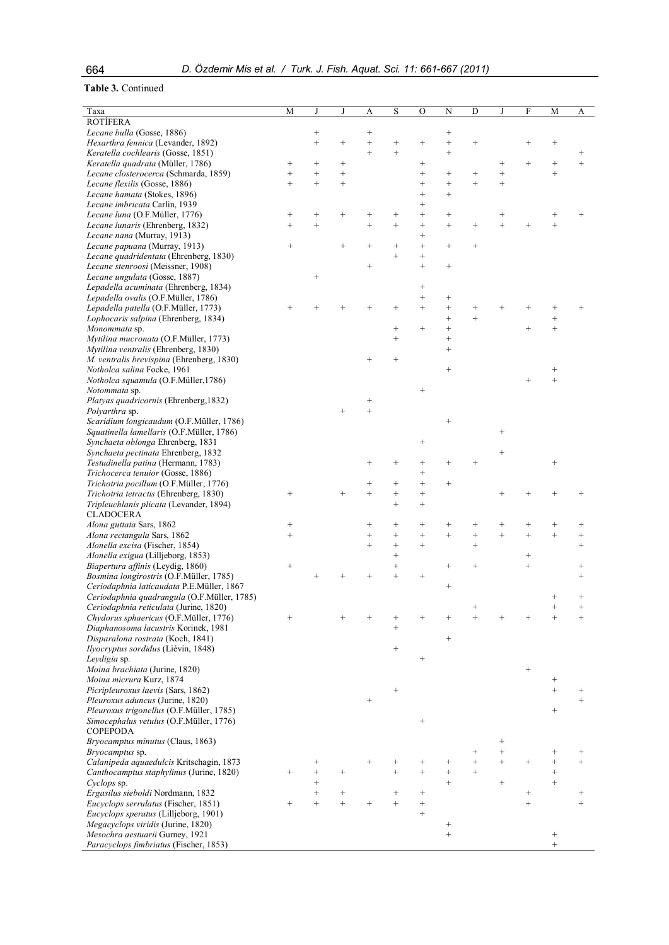# **Table 3.** Continued

| Taxa                                                                                 | M               | J               | J               | A                | S                  | О                           | N                      | D                      |                  | F               | М                  | A                   |
|--------------------------------------------------------------------------------------|-----------------|-----------------|-----------------|------------------|--------------------|-----------------------------|------------------------|------------------------|------------------|-----------------|--------------------|---------------------|
| <b>ROTIFERA</b>                                                                      |                 |                 |                 |                  |                    |                             |                        |                        |                  |                 |                    |                     |
| Lecane bulla (Gosse, 1886)                                                           |                 | $\! + \!\!\!\!$ |                 | $^{+}$           |                    |                             | $^{+}$                 |                        |                  |                 |                    |                     |
| Hexarthra fennica (Levander, 1892)                                                   |                 | $^{+}$          | $^{+}$          | $^{+}$           | $^{+}$             |                             | $^{+}$                 | $^{+}$                 |                  |                 | $^+$               |                     |
| Keratella cochlearis (Gosse, 1851)                                                   |                 |                 |                 | $^{+}$           | $\ddot{}$          |                             | $^{+}$                 |                        |                  |                 |                    | $^+$                |
| Keratella quadrata (Müller, 1786)                                                    | $^{+}$          | $\! +$          | $^{+}$          |                  |                    | $^+$                        |                        |                        | $^+$             | $^{+}$          | $^{+}$             | $^{+}$              |
| Lecane closterocerca (Schmarda, 1859)                                                | $^{+}$          | $^{+}$          | $^{+}$          |                  |                    | $^{+}$                      | $^{+}$                 | $^+$                   | $^{+}$           |                 | $^{+}$             |                     |
| Lecane flexilis (Gosse, 1886)                                                        | $+$             | $^{+}$          | $^{+}$          |                  |                    | $^{+}$                      | $^{+}$                 | $\ddot{}$              | $^{+}$           |                 |                    |                     |
| Lecane hamata (Stokes, 1896)                                                         |                 |                 |                 |                  |                    | $^{+}$                      | $^{+}$                 |                        |                  |                 |                    |                     |
| Lecane imbricata Carlin, 1939<br>Lecane luna (O.F.Müller, 1776)                      | $^{+}$          | $^{+}$          | $^{+}$          | $^{+}$           | $^{+}$             | $^{+}$<br>$^{+}$            | $^{+}$                 |                        | $^+$             |                 | $^+$               |                     |
| Lecane lunaris (Ehrenberg, 1832)                                                     | $^{+}$          | $^{+}$          |                 | $^{+}$           | $^{+}$             | $^{+}$                      | $^{+}$                 | $^{+}$                 |                  |                 | $^{+}$             |                     |
| Lecane nana (Murray, 1913)                                                           |                 |                 |                 |                  |                    | $^{+}$                      |                        |                        |                  |                 |                    |                     |
| Lecane papuana (Murray, 1913)                                                        | $+$             |                 | $\! + \!\!\!\!$ | $^{+}$           | $^{+}$             | $+$                         | $^{+}$                 | $^{+}$                 |                  |                 |                    |                     |
| Lecane quadridentata (Ehrenberg, 1830)                                               |                 |                 |                 |                  | $^{+}$             | $^{+}$                      |                        |                        |                  |                 |                    |                     |
| Lecane stenroosi (Meissner, 1908)                                                    |                 |                 |                 | $^{+}$           |                    | $^{+}$                      | $^{+}$                 |                        |                  |                 |                    |                     |
| Lecane ungulata (Gosse, 1887)                                                        |                 | $^{+}$          |                 |                  |                    |                             |                        |                        |                  |                 |                    |                     |
| Lepadella acuminata (Ehrenberg, 1834)                                                |                 |                 |                 |                  |                    | $\! + \!\!\!\!$             |                        |                        |                  |                 |                    |                     |
| Lepadella ovalis (O.F.Müller, 1786)                                                  |                 |                 |                 |                  |                    | $^{+}$                      | $^{+}$                 |                        |                  |                 |                    |                     |
| Lepadella patella (O.F.Müller, 1773)                                                 |                 |                 |                 |                  |                    | $^{+}$                      | $^{+}$<br>$^{+}$       | $\,{}^{+}\,$<br>$^{+}$ |                  |                 |                    |                     |
| Lophocaris salpina (Ehrenberg, 1834)<br>Monommata sp.                                |                 |                 |                 |                  | $^{+}$             | $^{+}$                      | $^{+}$                 |                        |                  | $^{+}$          | $^{+}$<br>$^{+}$   |                     |
| Mytilina mucronata (O.F.Müller, 1773)                                                |                 |                 |                 |                  | $^{+}$             |                             | $^{+}$                 |                        |                  |                 |                    |                     |
| Mytilina ventralis (Ehrenberg, 1830)                                                 |                 |                 |                 |                  |                    |                             | $^{+}$                 |                        |                  |                 |                    |                     |
| M. ventralis brevispina (Ehrenberg, 1830)                                            |                 |                 |                 | $^+$             |                    |                             |                        |                        |                  |                 |                    |                     |
| Notholca salina Focke, 1961                                                          |                 |                 |                 |                  |                    |                             | $^{+}$                 |                        |                  |                 | $^{+}$             |                     |
| Notholca squamula (O.F.Müller,1786)                                                  |                 |                 |                 |                  |                    |                             |                        |                        |                  | $^{+}$          | $^{+}$             |                     |
| <i>Notommata</i> sp.                                                                 |                 |                 |                 |                  |                    | $^{+}$                      |                        |                        |                  |                 |                    |                     |
| Platyas quadricornis (Ehrenberg, 1832)                                               |                 |                 |                 | $^{+}$           |                    |                             |                        |                        |                  |                 |                    |                     |
| Polyarthra sp.                                                                       |                 |                 |                 | $\ddot{}$        |                    |                             |                        |                        |                  |                 |                    |                     |
| Scaridium longicaudum (O.F.Müller, 1786)                                             |                 |                 |                 |                  |                    |                             | $^{+}$                 |                        |                  |                 |                    |                     |
| Squatinella lamellaris (O.F.Müller, 1786)<br>Synchaeta oblonga Ehrenberg, 1831       |                 |                 |                 |                  |                    | $^+$                        |                        |                        | $^{+}$           |                 |                    |                     |
| Synchaeta pectinata Ehrenberg, 1832                                                  |                 |                 |                 |                  |                    |                             |                        |                        | $^{+}$           |                 |                    |                     |
| Testudinella patina (Hermann, 1783)                                                  |                 |                 |                 |                  |                    | $^{+}$                      | $\hspace{0.1mm} +$     |                        |                  |                 | $^{+}$             |                     |
| Trichocerca tenuior (Gosse, 1886)                                                    |                 |                 |                 |                  |                    | $^{+}$                      |                        |                        |                  |                 |                    |                     |
| Trichotria pocillum (O.F.Müller, 1776)                                               |                 |                 |                 | $^{+}$           | $\hspace{0.1mm} +$ | $^{+}$                      | $^{+}$                 |                        |                  |                 |                    |                     |
| Trichotria tetractis (Ehrenberg, 1830)                                               | $\! + \!\!\!\!$ |                 | $^{+}$          | $^{+}$           | $^{+}$             | $^{+}$                      |                        |                        |                  |                 | $\hspace{0.1mm} +$ |                     |
| Tripleuchlanis plicata (Levander, 1894)                                              |                 |                 |                 |                  | $^{+}$             | $^{+}$                      |                        |                        |                  |                 |                    |                     |
| <b>CLADOCERA</b>                                                                     |                 |                 |                 |                  |                    |                             |                        |                        |                  |                 |                    |                     |
| Alona guttata Sars, 1862                                                             | $^{+}$          |                 |                 | $^{+}$           | $^{+}$             | $^{+}$                      | $^+$                   | $\,{}^{+}\,$           | $\,{}^{+}\,$     | $^{+}$          | $\,{}^{+}\,$       | $^+$                |
| Alona rectangula Sars, 1862<br>Alonella excisa (Fischer, 1854)                       | $^{+}$          |                 |                 | $^{+}$<br>$^{+}$ | $^{+}$<br>$^{+}$   | $\qquad \qquad +$<br>$^{+}$ | $^{+}$                 | $^{+}$<br>$^{+}$       | $^{+}$           | $^{+}$          | $^{+}$             | $^{+}$<br>$^{+}$    |
| Alonella exigua (Lilljeborg, 1853)                                                   |                 |                 |                 |                  | $^{+}$             |                             |                        |                        |                  | $^{+}$          |                    |                     |
| Biapertura affinis (Leydig, 1860)                                                    | $\! + \!\!\!\!$ |                 |                 |                  | $^{+}$             |                             | $^{+}$                 | $^{+}$                 |                  | $^{+}$          |                    | $^{+}$              |
| Bosmina longirostris (O.F.Müller, 1785)                                              |                 |                 |                 | $^{+}$           | $^{+}$             | $^{+}$                      |                        |                        |                  |                 |                    | $^{+}$              |
| Ceriodaphnia laticaudata P.E.Müller, 1867                                            |                 |                 |                 |                  |                    |                             | $^{+}$                 |                        |                  |                 |                    |                     |
| Ceriodaphnia quadrangula (O.F.Müller, 1785)                                          |                 |                 |                 |                  |                    |                             |                        |                        |                  |                 | $^{+}$             | $^{+}$              |
| Ceriodaphnia reticulata (Jurine, 1820)                                               |                 |                 |                 |                  |                    |                             |                        |                        |                  |                 |                    |                     |
| Chydorus sphaericus (O.F.Müller, 1776)                                               |                 |                 |                 |                  |                    |                             |                        |                        |                  |                 |                    |                     |
| Diaphanosoma lacustris Korinek, 1981                                                 |                 |                 |                 |                  | $^{+}$             |                             |                        |                        |                  |                 |                    |                     |
| Disparalona rostrata (Koch, 1841)                                                    |                 |                 |                 |                  | $^{+}$             |                             | $^{+}$                 |                        |                  |                 |                    |                     |
| Ilyocryptus sordidus (Liévin, 1848)<br>Leydigia sp.                                  |                 |                 |                 |                  |                    | $^{+}$                      |                        |                        |                  |                 |                    |                     |
| Moina brachiata (Jurine, 1820)                                                       |                 |                 |                 |                  |                    |                             |                        |                        |                  | $\! + \!\!\!\!$ |                    |                     |
| Moina micrura Kurz, 1874                                                             |                 |                 |                 |                  |                    |                             |                        |                        |                  |                 | $^{+}$             |                     |
| Picripleuroxus laevis (Sars, 1862)                                                   |                 |                 |                 |                  | $^{+}$             |                             |                        |                        |                  |                 | $^{+}$             |                     |
| Pleuroxus aduncus (Jurine, 1820)                                                     |                 |                 |                 |                  |                    |                             |                        |                        |                  |                 |                    | $^{+}$              |
| Pleuroxus trigonellus (O.F.Müller, 1785)                                             |                 |                 |                 |                  |                    |                             |                        |                        |                  |                 | $^{+}$             |                     |
| Simocephalus vetulus (O.F.Müller, 1776)                                              |                 |                 |                 |                  |                    | $\! + \!\!\!\!$             |                        |                        |                  |                 |                    |                     |
| <b>COPEPODA</b>                                                                      |                 |                 |                 |                  |                    |                             |                        |                        |                  |                 |                    |                     |
| Bryocamptus minutus (Claus, 1863)                                                    |                 |                 |                 |                  |                    |                             |                        |                        | $^{+}$           |                 |                    |                     |
| Bryocamptus sp.                                                                      |                 |                 |                 |                  |                    |                             |                        | $\,{}^{+}\,$           | $^{+}$<br>$^{+}$ |                 | $^+$               | $^{+}$<br>$\ddot{}$ |
| Calanipeda aquaedulcis Kritschagin, 1873<br>Canthocamptus staphylinus (Jurine, 1820) | $^{+}$          |                 | $^{+}$          | $\overline{+}$   |                    | $^{+}$<br>$^{+}$            | $\,{}^{+}\,$<br>$^{+}$ | $^{+}$<br>$^{+}$       |                  |                 | $^{+}$<br>$^{+}$   |                     |
| Cyclops sp.                                                                          |                 | $^{+}$          |                 |                  |                    |                             | $^{+}$                 |                        | $^{+}$           |                 | $^{+}$             |                     |
| Ergasilus sieboldi Nordmann, 1832                                                    |                 | $+$             | $^{+}$          |                  | $^{+}$             | $^{+}$                      |                        |                        |                  | $\! + \!\!\!\!$ |                    | $^{+}$              |
| Eucyclops serrulatus (Fischer, 1851)                                                 | $^{+}$          | $^{+}$          | $^{+}$          | $^{+}$           | $^{+}$             | $\! + \!$                   |                        |                        |                  | $^{+}$          |                    | $^{+}$              |
| Eucyclops speratus (Lilljeborg, 1901)                                                |                 |                 |                 |                  |                    | $^{+}$                      |                        |                        |                  |                 |                    |                     |
| Megacyclops viridis (Jurine, 1820)                                                   |                 |                 |                 |                  |                    |                             | $^{+}$                 |                        |                  |                 |                    |                     |
| Mesochra aestuarii Gurney, 1921                                                      |                 |                 |                 |                  |                    |                             | $^{+}$                 |                        |                  |                 | $^{+}$             |                     |
| Paracyclops fimbriatus (Fischer, 1853)                                               |                 |                 |                 |                  |                    |                             |                        |                        |                  |                 | $^{+}$             |                     |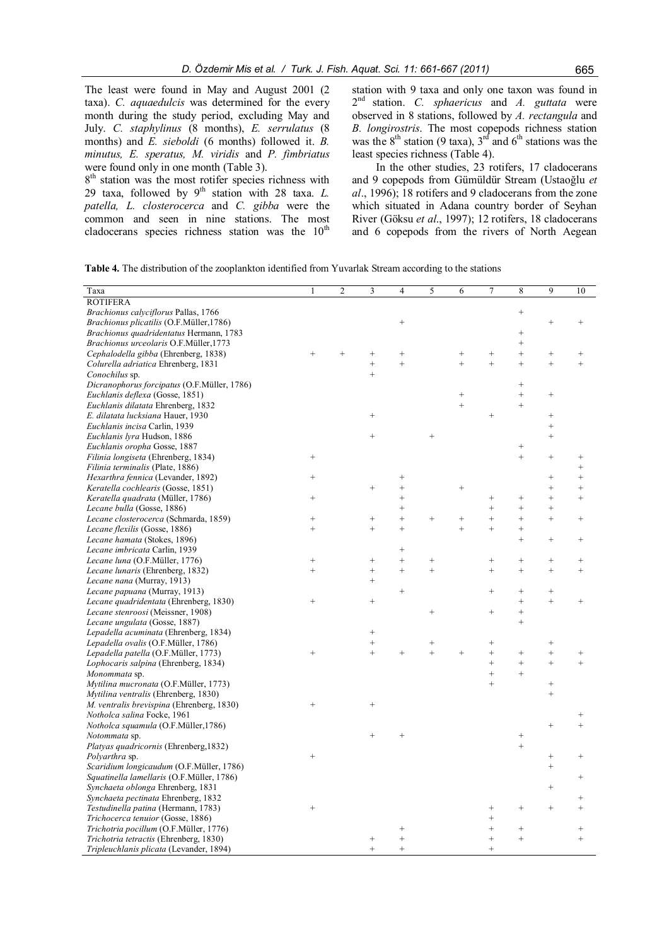The least were found in May and August 2001 (2 taxa). *C. aquaedulcis* was determined for the every month during the study period, excluding May and July. *C. staphylinus* (8 months), *E. serrulatus* (8 months) and *E. sieboldi* (6 months) followed it. *B. minutus, E. speratus, M. viridis* and *P. fimbriatus* were found only in one month (Table 3).

8<sup>th</sup> station was the most rotifer species richness with 29 taxa, followed by  $9<sup>th</sup>$  station with 28 taxa. *L*. *patella, L. closterocerca* and *C. gibba* were the common and seen in nine stations. The most cladocerans species richness station was the  $10<sup>th</sup>$  station with 9 taxa and only one taxon was found in 2 nd station. *C. sphaericus* and *A. guttata* were observed in 8 stations, followed by *A. rectangula* and *B. longirostris*. The most copepods richness station was the  $8<sup>th</sup>$  station (9 taxa),  $3<sup>rd</sup>$  and  $6<sup>th</sup>$  stations was the least species richness (Table 4).

In the other studies, 23 rotifers, 17 cladocerans and 9 copepods from Gümüldür Stream (Ustaoğlu *et al*., 1996); 18 rotifers and 9 cladocerans from the zone which situated in Adana country border of Seyhan River (Göksu *et al*., 1997); 12 rotifers, 18 cladocerans and 6 copepods from the rivers of North Aegean

|  |  |  |  |  | <b>Table 4.</b> The distribution of the zooplankton identified from Yuvarlak Stream according to the stations |  |
|--|--|--|--|--|---------------------------------------------------------------------------------------------------------------|--|
|  |  |  |  |  |                                                                                                               |  |

| Taxa                                        | 1                | $\overline{c}$ | 3                         | 4                | 5                | 6               | 7                 | 8                | 9                 | 10                 |
|---------------------------------------------|------------------|----------------|---------------------------|------------------|------------------|-----------------|-------------------|------------------|-------------------|--------------------|
| <b>ROTIFERA</b>                             |                  |                |                           |                  |                  |                 |                   |                  |                   |                    |
| Brachionus calyciflorus Pallas, 1766        |                  |                |                           |                  |                  |                 |                   | $^{+}$           |                   |                    |
| Brachionus plicatilis (O.F.Müller,1786)     |                  |                |                           | $^{+}$           |                  |                 |                   |                  | $^{+}$            | $^{+}$             |
| Brachionus quadridentatus Hermann, 1783     |                  |                |                           |                  |                  |                 |                   | $^{+}$           |                   |                    |
| Brachionus urceolaris O.F.Müller,1773       |                  |                |                           |                  |                  |                 |                   | $^{+}$           |                   |                    |
| Cephalodella gibba (Ehrenberg, 1838)        | $^{+}$           | $^{+}$         | $^{+}$                    | $^{+}$           |                  | $^{+}$          | $^{+}$            | $^{+}$           | $^{+}$            | $^{+}$             |
| Colurella adriatica Ehrenberg, 1831         |                  |                | $^{+}$                    | $^{+}$           |                  | $\ddot{}$       | $\ddot{}$         | $^{+}$           | $^{+}$            | $^{+}$             |
| Conochilus sp.                              |                  |                | $^{+}$                    |                  |                  |                 |                   |                  |                   |                    |
| Dicranophorus forcipatus (O.F.Müller, 1786) |                  |                |                           |                  |                  |                 |                   | $^{+}$           |                   |                    |
| Euchlanis deflexa (Gosse, 1851)             |                  |                |                           |                  |                  | $+$             |                   | $^{+}$           | $^{+}$            |                    |
| Euchlanis dilatata Ehrenberg, 1832          |                  |                |                           |                  |                  | $^{+}$          |                   | $^{+}$           |                   |                    |
| E. dilatata lucksiana Hauer, 1930           |                  |                | $^{+}$                    |                  |                  |                 | $^{+}$            |                  | $^{+}$            |                    |
| Euchlanis incisa Carlin, 1939               |                  |                |                           |                  |                  |                 |                   |                  | $^{+}$            |                    |
| Euchlanis lyra Hudson, 1886                 |                  |                | $+$                       |                  | $^{+}$           |                 |                   |                  | $\qquad \qquad +$ |                    |
| Euchlanis oropha Gosse, 1887                |                  |                |                           |                  |                  |                 |                   | $^{+}$           |                   |                    |
| Filinia longiseta (Ehrenberg, 1834)         | $^{+}$           |                |                           |                  |                  |                 |                   | $^{+}$           | $\qquad \qquad +$ | $^{+}$             |
| Filinia terminalis (Plate, 1886)            |                  |                |                           |                  |                  |                 |                   |                  |                   | $^{+}$             |
| Hexarthra fennica (Levander, 1892)          | $^{+}$           |                |                           | $^{+}$           |                  |                 |                   |                  | $^{+}$            | $^{+}$             |
| Keratella cochlearis (Gosse, 1851)          |                  |                | $\! + \!\!\!\!$           | $^{+}$           |                  | $+$             |                   |                  | $^{+}$            | $^{+}$             |
| Keratella quadrata (Müller, 1786)           | $^{+}$           |                |                           | $^{+}$           |                  |                 | $^{+}$            | $^{+}$           | $^{+}$            | $^{+}$             |
| Lecane bulla (Gosse, 1886)                  |                  |                |                           | $^{+}$           |                  |                 | $^{+}$            | $^{+}$           |                   |                    |
| Lecane closterocerca (Schmarda, 1859)       | $^{+}$           |                | $\! + \!\!\!\!$           | $^{+}$           | $^{+}$           | $\! + \!\!\!\!$ | $^{+}$            | $^{+}$           | $^{+}$            | $^{+}$             |
| Lecane flexilis (Gosse, 1886)               | $^{+}$           |                | $\qquad \qquad +$         | $^{+}$           |                  | $+$             | $^{+}$            | $^{+}$           |                   |                    |
| Lecane hamata (Stokes, 1896)                |                  |                |                           |                  |                  |                 |                   | $^{+}$           | $^{+}$            | $^{+}$             |
|                                             |                  |                |                           |                  |                  |                 |                   |                  |                   |                    |
| Lecane imbricata Carlin, 1939               |                  |                |                           | $^{+}$           |                  |                 |                   |                  |                   |                    |
| Lecane luna (O.F.Müller, 1776)              | $^{+}$<br>$^{+}$ |                | $\! + \!\!\!\!$<br>$^{+}$ | $^{+}$<br>$^{+}$ | $^{+}$<br>$^{+}$ |                 | $^{+}$<br>$^{+}$  | $^{+}$<br>$^{+}$ | $^{+}$<br>$^{+}$  | $^{+}$<br>$^{+}$   |
| Lecane lunaris (Ehrenberg, 1832)            |                  |                |                           |                  |                  |                 |                   |                  |                   |                    |
| Lecane nana (Murray, 1913)                  |                  |                | $^{+}$                    | $^{+}$           |                  |                 | $^{+}$            |                  |                   |                    |
| Lecane papuana (Murray, 1913)               |                  |                |                           |                  |                  |                 |                   | $^{+}$<br>$^{+}$ | $\qquad \qquad +$ |                    |
| Lecane quadridentata (Ehrenberg, 1830)      | $^{+}$           |                | $\! + \!\!\!\!$           |                  |                  |                 |                   |                  |                   | $^{+}$             |
| Lecane stenroosi (Meissner, 1908)           |                  |                |                           |                  | $^{+}$           |                 | $^{+}$            | $^{+}$           |                   |                    |
| Lecane ungulata (Gosse, 1887)               |                  |                |                           |                  |                  |                 |                   | $^{+}$           |                   |                    |
| Lepadella acuminata (Ehrenberg, 1834)       |                  |                | $\! + \!\!\!\!$           |                  |                  |                 |                   |                  |                   |                    |
| Lepadella ovalis (O.F.Müller, 1786)         |                  |                | $^{+}$                    |                  | $^{+}$           |                 | $^{+}$            |                  | $\! + \!\!\!\!$   |                    |
| Lepadella patella (O.F.Müller, 1773)        | $^{+}$           |                | $^{+}$                    | $\overline{+}$   | $\ddot{}$        | $^{+}$          | $^{+}$            | $^{+}$           | $^{+}$            | $^{+}$             |
| Lophocaris salpina (Ehrenberg, 1834)        |                  |                |                           |                  |                  |                 | $^{+}$            | $\ddot{}$        | $^{+}$            | $\ddot{}$          |
| Monommata sp.                               |                  |                |                           |                  |                  |                 | $^{+}$            | $\ddot{}$        |                   |                    |
| Mytilina mucronata (O.F.Müller, 1773)       |                  |                |                           |                  |                  |                 | $\ddot{}$         |                  | $\! + \!\!\!\!$   |                    |
| Mytilina ventralis (Ehrenberg, 1830)        |                  |                |                           |                  |                  |                 |                   |                  | $\ddot{}$         |                    |
| M. ventralis brevispina (Ehrenberg, 1830)   | $^{+}$           |                | $^{+}$                    |                  |                  |                 |                   |                  |                   |                    |
| Notholca salina Focke, 1961                 |                  |                |                           |                  |                  |                 |                   |                  |                   | $^{+}$             |
| Notholca squamula (O.F.Müller,1786)         |                  |                |                           |                  |                  |                 |                   |                  | $^{+}$            | $\ddot{}$          |
| Notommata sp.                               |                  |                | $^{+}$                    | $^{+}$           |                  |                 |                   | $^{+}$           |                   |                    |
| Platyas quadricornis (Ehrenberg, 1832)      |                  |                |                           |                  |                  |                 |                   | $\ddot{}$        |                   |                    |
| Polyarthra sp.                              | $^{+}$           |                |                           |                  |                  |                 |                   |                  | $^{+}$            | $^{+}$             |
| Scaridium longicaudum (O.F.Müller, 1786)    |                  |                |                           |                  |                  |                 |                   |                  | $^{+}$            |                    |
| Squatinella lamellaris (O.F.Müller, 1786)   |                  |                |                           |                  |                  |                 |                   |                  |                   | $\hspace{0.1mm} +$ |
| Synchaeta oblonga Ehrenberg, 1831           |                  |                |                           |                  |                  |                 |                   |                  | $\! + \!\!\!\!$   |                    |
| Synchaeta pectinata Ehrenberg, 1832         |                  |                |                           |                  |                  |                 |                   |                  |                   |                    |
| Testudinella patina (Hermann, 1783)         | $^{+}$           |                |                           |                  |                  |                 | $^{+}$            | $^{+}$           | $\qquad \qquad +$ | $\ddot{}$          |
| Trichocerca tenuior (Gosse, 1886)           |                  |                |                           |                  |                  |                 | $^{+}$            |                  |                   |                    |
| Trichotria pocillum (O.F.Müller, 1776)      |                  |                |                           |                  |                  |                 | $\! + \!$         | $^{+}$           |                   | $^{+}$             |
| Trichotria tetractis (Ehrenberg, 1830)      |                  |                | $\! + \!\!\!\!$           | $^{+}$           |                  |                 | $\qquad \qquad +$ | $^{+}$           |                   | $^{+}$             |
| Tripleuchlanis plicata (Levander, 1894)     |                  |                | $\ddot{}$                 | $^{+}$           |                  |                 | $\ddot{}$         |                  |                   |                    |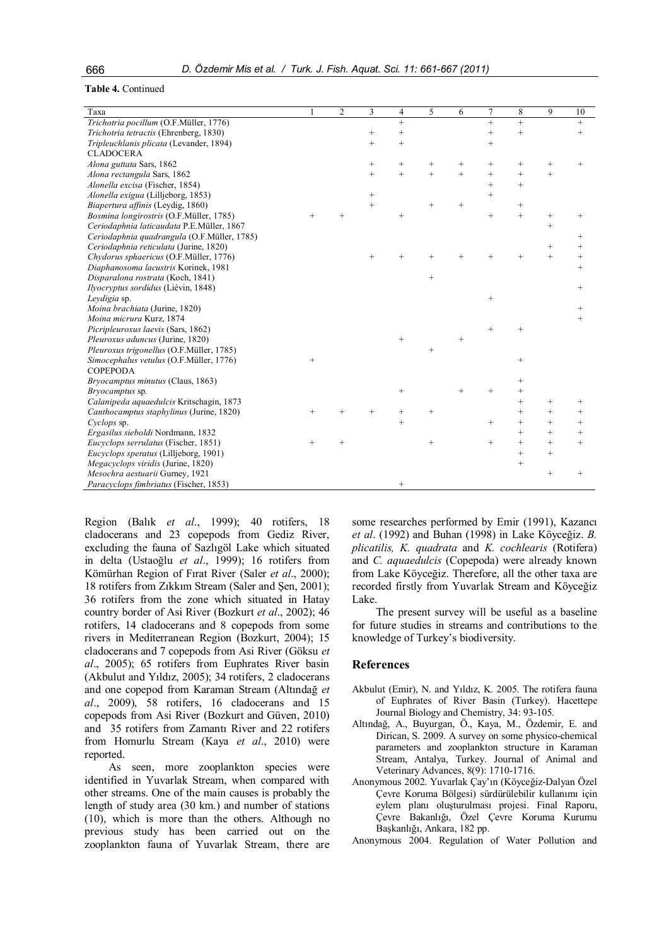#### **Table 4.** Continued

| Taxa                                         |        | $\overline{2}$ | 3                 | 4               | 5      | 6      | 7         | 8                 | 9      | 10                 |
|----------------------------------------------|--------|----------------|-------------------|-----------------|--------|--------|-----------|-------------------|--------|--------------------|
| Trichotria pocillum (O.F.Müller, 1776)       |        |                |                   | $\ddot{}$       |        |        | $\ddot{}$ | $^{+}$            |        | $^{+}$             |
| Trichotria tetractis (Ehrenberg, 1830)       |        |                | $\qquad \qquad +$ | $^{+}$          |        |        | $^{+}$    | $\qquad \qquad +$ |        | $^{+}$             |
| Tripleuchlanis plicata (Levander, 1894)      |        |                | $^{+}$            | $^{+}$          |        |        | $^{+}$    |                   |        |                    |
| <b>CLADOCERA</b>                             |        |                |                   |                 |        |        |           |                   |        |                    |
| Alona guttata Sars, 1862                     |        |                | $\! + \!\!\!\!$   | $^{+}$          | $^{+}$ | $^{+}$ | $^{+}$    | $^{+}$            | $^{+}$ | $^{+}$             |
| Alona rectangula Sars, 1862                  |        |                | $^{+}$            | $^{+}$          | $+$    | $+$    | $^{+}$    | $^+$              | $^{+}$ |                    |
| Alonella excisa (Fischer, 1854)              |        |                |                   |                 |        |        | $^{+}$    | $\ddot{}$         |        |                    |
| Alonella exigua (Lilljeborg, 1853)           |        |                | $\qquad \qquad +$ |                 |        |        | $\ddot{}$ |                   |        |                    |
| Biapertura affinis (Leydig, 1860)            |        |                | $^{+}$            |                 | $^{+}$ | $^{+}$ |           | $\! + \!\!\!\!$   |        |                    |
| Bosmina longirostris (O.F.Müller, 1785)      | $^{+}$ | $^{+}$         |                   | $^{+}$          |        |        | $^{+}$    | $^{+}$            | $^{+}$ | $^{+}$             |
| Ceriodaphnia laticaudata P.E.Müller, 1867    |        |                |                   |                 |        |        |           |                   | $^{+}$ |                    |
| Ceriodaphnia quadrangula (O.F.Müller, 1785)  |        |                |                   |                 |        |        |           |                   |        | $^{+}$             |
| Ceriodaphnia reticulata (Jurine, 1820)       |        |                |                   |                 |        |        |           |                   | $^{+}$ | $^{+}$             |
| Chydorus sphaericus (O.F.Müller, 1776)       |        |                | $^{+}$            |                 |        | $^{+}$ | $^{+}$    | $^{+}$            | $^{+}$ | $^{+}$             |
| Diaphanosoma lacustris Korinek, 1981         |        |                |                   |                 |        |        |           |                   |        | $^{+}$             |
| Disparalona rostrata (Koch, 1841)            |        |                |                   |                 | $^{+}$ |        |           |                   |        |                    |
| Ilyocryptus sordidus (Liévin, 1848)          |        |                |                   |                 |        |        |           |                   |        | $^{+}$             |
| Leydigia sp.                                 |        |                |                   |                 |        |        | $^{+}$    |                   |        |                    |
| Moina brachiata (Jurine, 1820)               |        |                |                   |                 |        |        |           |                   |        | $\hspace{0.1mm} +$ |
| Moina micrura Kurz, 1874                     |        |                |                   |                 |        |        |           |                   |        | $^{+}$             |
| Picripleuroxus laevis (Sars, 1862)           |        |                |                   |                 |        |        | $^{+}$    |                   |        |                    |
| Pleuroxus aduncus (Jurine, 1820)             |        |                |                   | $\! + \!\!\!\!$ |        | $^{+}$ |           |                   |        |                    |
| Pleuroxus trigonellus (O.F.Müller, 1785)     |        |                |                   |                 | $^{+}$ |        |           |                   |        |                    |
| Simocephalus vetulus (O.F.Müller, 1776)      | $+$    |                |                   |                 |        |        |           |                   |        |                    |
| <b>COPEPODA</b>                              |        |                |                   |                 |        |        |           |                   |        |                    |
| Bryocamptus minutus (Claus, 1863)            |        |                |                   |                 |        |        |           |                   |        |                    |
| Bryocamptus sp.                              |        |                |                   | $\! + \!\!\!\!$ |        | $^{+}$ | $^{+}$    |                   |        |                    |
| Calanipeda aquaedulcis Kritschagin, 1873     |        |                |                   |                 |        |        |           | $^{+}$            | $^{+}$ | $^{+}$             |
| Canthocamptus staphylinus (Jurine, 1820)     | $^{+}$ | $\overline{+}$ | $^{+}$            | $^{+}$          | $^{+}$ |        |           | $\! +$            | $^{+}$ | $^{+}$             |
| Cyclops sp.                                  |        |                |                   | $\! +$          |        |        | $^{+}$    | $^{+}$            | $^{+}$ | $^{+}$             |
| Ergasilus sieboldi Nordmann, 1832            |        |                |                   |                 |        |        |           | $+$               | $^{+}$ | $^{+}$             |
| Eucyclops serrulatus (Fischer, 1851)         | $^{+}$ | $^{+}$         |                   |                 | $\! +$ |        | $^{+}$    | $^{+}$            | $^{+}$ | $^{+}$             |
| <i>Eucyclops speratus</i> (Lilljeborg, 1901) |        |                |                   |                 |        |        |           | $^{+}$            | $^{+}$ |                    |
| Megacyclops viridis (Jurine, 1820)           |        |                |                   |                 |        |        |           | $^+$              |        |                    |
| Mesochra aestuarii Gurney, 1921              |        |                |                   |                 |        |        |           |                   | $^{+}$ | $^{+}$             |
| Paracyclops fimbriatus (Fischer, 1853)       |        |                |                   | $^{+}$          |        |        |           |                   |        |                    |

Region (Balık *et al*., 1999); 40 rotifers, 18 cladocerans and 23 copepods from Gediz River, excluding the fauna of Sazlıgöl Lake which situated in delta (Ustaoğlu *et al*., 1999); 16 rotifers from Kömürhan Region of Fırat River (Saler *et al*., 2000); 18 rotifers from Zıkkım Stream (Saler and Şen, 2001); 36 rotifers from the zone which situated in Hatay country border of Asi River (Bozkurt *et al*., 2002); 46 rotifers, 14 cladocerans and 8 copepods from some rivers in Mediterranean Region (Bozkurt, 2004); 15 cladocerans and 7 copepods from Asi River (Göksu *et al*., 2005); 65 rotifers from Euphrates River basin (Akbulut and Yıldız, 2005); 34 rotifers, 2 cladocerans and one copepod from Karaman Stream (Altındağ *et al*., 2009), 58 rotifers, 16 cladocerans and 15 copepods from Asi River (Bozkurt and Güven, 2010) and 35 rotifers from Zamantı River and 22 rotifers from Homurlu Stream (Kaya *et al*., 2010) were reported.

As seen, more zooplankton species were identified in Yuvarlak Stream, when compared with other streams. One of the main causes is probably the length of study area (30 km.) and number of stations (10), which is more than the others. Although no previous study has been carried out on the zooplankton fauna of Yuvarlak Stream, there are

some researches performed by Emir (1991), Kazancı *et al*. (1992) and Buhan (1998) in Lake Köyceğiz. *B. plicatilis, K. quadrata* and *K. cochlearis* (Rotifera) and *C. aquaedulcis* (Copepoda) were already known from Lake Köyceğiz. Therefore, all the other taxa are recorded firstly from Yuvarlak Stream and Köyceğiz Lake.

The present survey will be useful as a baseline for future studies in streams and contributions to the knowledge of Turkey's biodiversity.

#### **References**

- Akbulut (Emir), N. and Yıldız, K. 2005. The rotifera fauna of Euphrates of River Basin (Turkey). Hacettepe Journal Biology and Chemistry, 34: 93-105.
- Altındağ, A., Buyurgan, Ö., Kaya, M., Özdemir, E. and Dirican, S. 2009. A survey on some physico-chemical parameters and zooplankton structure in Karaman Stream, Antalya, Turkey. Journal of Animal and Veterinary Advances, 8(9): 1710-1716.
- Anonymous 2002. Yuvarlak Çay'ın (Köyceğiz-Dalyan Özel Çevre Koruma Bölgesi) sürdürülebilir kullanımı için eylem planı oluşturulması projesi. Final Raporu, Çevre Bakanlığı, Özel Çevre Koruma Kurumu Başkanlığı, Ankara, 182 pp.
- Anonymous 2004. Regulation of Water Pollution and